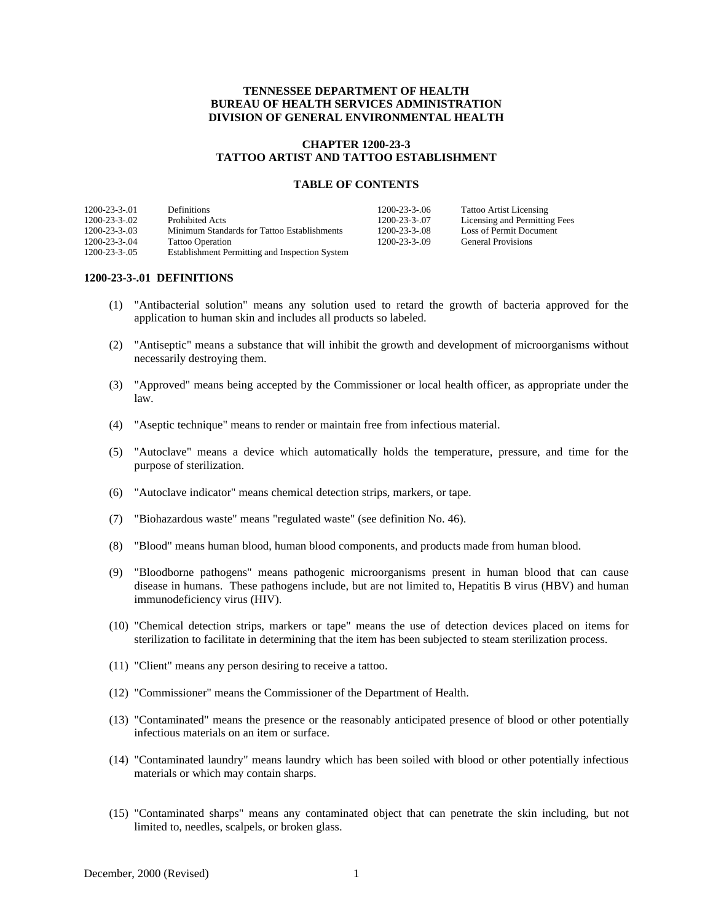## **TENNESSEE DEPARTMENT OF HEALTH BUREAU OF HEALTH SERVICES ADMINISTRATION DIVISION OF GENERAL ENVIRONMENTAL HEALTH**

## **CHAPTER 1200-23-3 TATTOO ARTIST AND TATTOO ESTABLISHMENT**

#### **TABLE OF CONTENTS**

| $1200 - 23 - 3 - 01$ | <b>Definitions</b>                             | $1200 - 23 - 3 - 06$ | Tattoo Artist Licensing       |
|----------------------|------------------------------------------------|----------------------|-------------------------------|
| $1200 - 23 - 3 - 02$ | Prohibited Acts                                | $1200 - 23 - 3 - 07$ | Licensing and Permitting Fees |
| $1200 - 23 - 3 - 03$ | Minimum Standards for Tattoo Establishments    | $1200 - 23 - 3 - 08$ | Loss of Permit Document       |
| $1200 - 23 - 3 - 04$ | <b>Tattoo Operation</b>                        | 1200-23-3-09         | <b>General Provisions</b>     |
| $1200 - 23 - 3 - 05$ | Establishment Permitting and Inspection System |                      |                               |

#### **1200-23-3-.01 DEFINITIONS**

- (1) "Antibacterial solution" means any solution used to retard the growth of bacteria approved for the application to human skin and includes all products so labeled.
- (2) "Antiseptic" means a substance that will inhibit the growth and development of microorganisms without necessarily destroying them.
- (3) "Approved" means being accepted by the Commissioner or local health officer, as appropriate under the law.
- (4) "Aseptic technique" means to render or maintain free from infectious material.
- (5) "Autoclave" means a device which automatically holds the temperature, pressure, and time for the purpose of sterilization.
- (6) "Autoclave indicator" means chemical detection strips, markers, or tape.
- (7) "Biohazardous waste" means "regulated waste" (see definition No. 46).
- (8) "Blood" means human blood, human blood components, and products made from human blood.
- (9) "Bloodborne pathogens" means pathogenic microorganisms present in human blood that can cause disease in humans. These pathogens include, but are not limited to, Hepatitis B virus (HBV) and human immunodeficiency virus (HIV).
- (10) "Chemical detection strips, markers or tape" means the use of detection devices placed on items for sterilization to facilitate in determining that the item has been subjected to steam sterilization process.
- (11) "Client" means any person desiring to receive a tattoo.
- (12) "Commissioner" means the Commissioner of the Department of Health.
- (13) "Contaminated" means the presence or the reasonably anticipated presence of blood or other potentially infectious materials on an item or surface.
- (14) "Contaminated laundry" means laundry which has been soiled with blood or other potentially infectious materials or which may contain sharps.
- (15) "Contaminated sharps" means any contaminated object that can penetrate the skin including, but not limited to, needles, scalpels, or broken glass.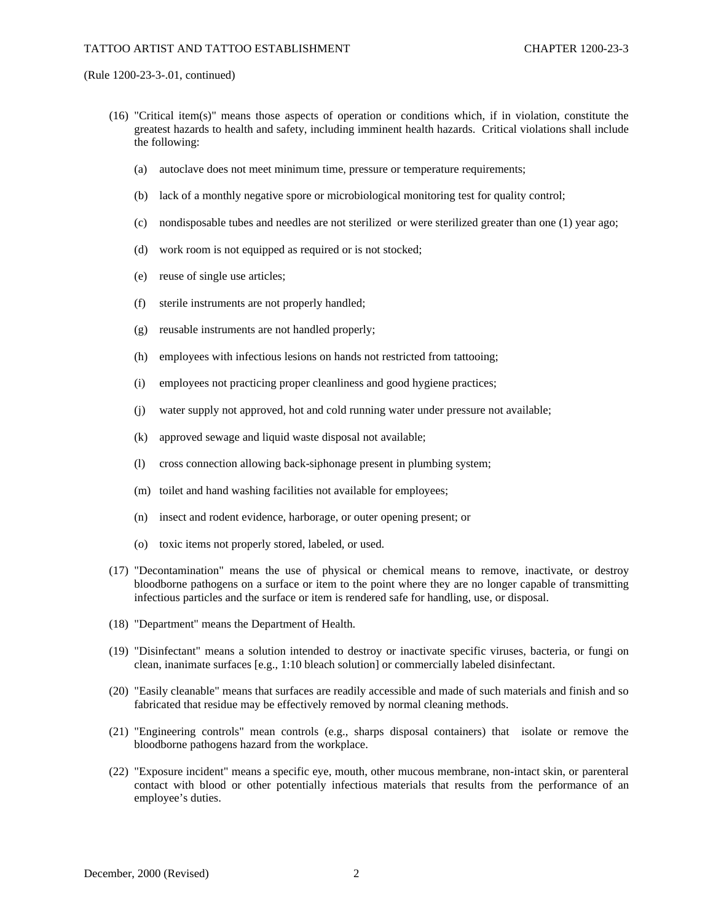- (16) "Critical item(s)" means those aspects of operation or conditions which, if in violation, constitute the greatest hazards to health and safety, including imminent health hazards. Critical violations shall include the following:
	- (a) autoclave does not meet minimum time, pressure or temperature requirements;
	- (b) lack of a monthly negative spore or microbiological monitoring test for quality control;
	- (c) nondisposable tubes and needles are not sterilized or were sterilized greater than one (1) year ago;
	- (d) work room is not equipped as required or is not stocked;
	- (e) reuse of single use articles;
	- (f) sterile instruments are not properly handled;
	- (g) reusable instruments are not handled properly;
	- (h) employees with infectious lesions on hands not restricted from tattooing;
	- (i) employees not practicing proper cleanliness and good hygiene practices;
	- (j) water supply not approved, hot and cold running water under pressure not available;
	- (k) approved sewage and liquid waste disposal not available;
	- (l) cross connection allowing back-siphonage present in plumbing system;
	- (m) toilet and hand washing facilities not available for employees;
	- (n) insect and rodent evidence, harborage, or outer opening present; or
	- (o) toxic items not properly stored, labeled, or used.
- (17) "Decontamination" means the use of physical or chemical means to remove, inactivate, or destroy bloodborne pathogens on a surface or item to the point where they are no longer capable of transmitting infectious particles and the surface or item is rendered safe for handling, use, or disposal.
- (18) "Department" means the Department of Health.
- (19) "Disinfectant" means a solution intended to destroy or inactivate specific viruses, bacteria, or fungi on clean, inanimate surfaces [e.g., 1:10 bleach solution] or commercially labeled disinfectant.
- (20) "Easily cleanable" means that surfaces are readily accessible and made of such materials and finish and so fabricated that residue may be effectively removed by normal cleaning methods.
- (21) "Engineering controls" mean controls (e.g., sharps disposal containers) that isolate or remove the bloodborne pathogens hazard from the workplace.
- (22) "Exposure incident" means a specific eye, mouth, other mucous membrane, non-intact skin, or parenteral contact with blood or other potentially infectious materials that results from the performance of an employee's duties.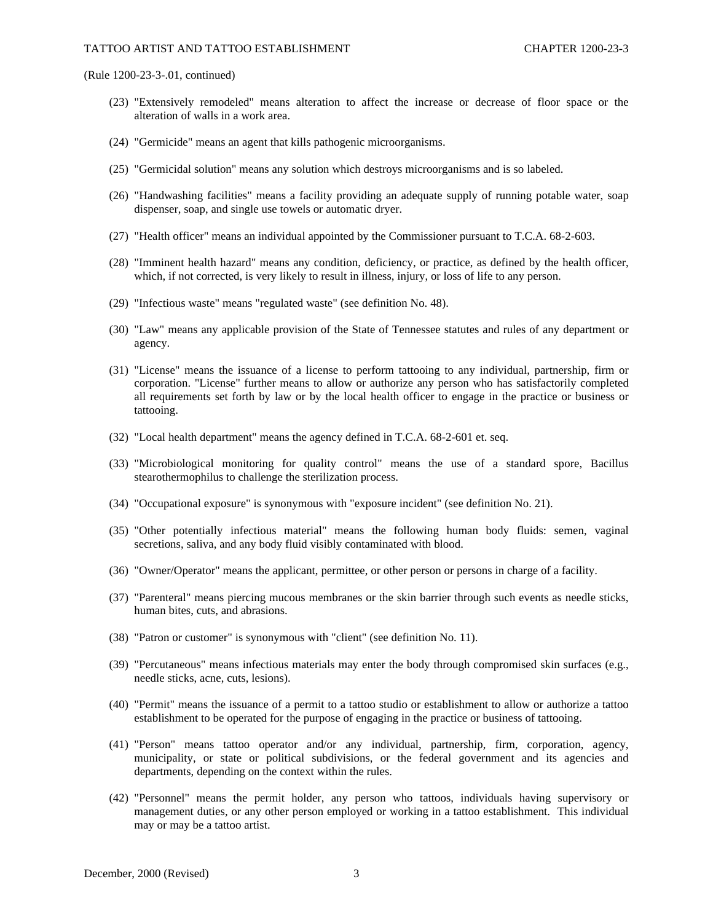- (23) "Extensively remodeled" means alteration to affect the increase or decrease of floor space or the alteration of walls in a work area.
- (24) "Germicide" means an agent that kills pathogenic microorganisms.
- (25) "Germicidal solution" means any solution which destroys microorganisms and is so labeled.
- (26) "Handwashing facilities" means a facility providing an adequate supply of running potable water, soap dispenser, soap, and single use towels or automatic dryer.
- (27) "Health officer" means an individual appointed by the Commissioner pursuant to T.C.A. 68-2-603.
- (28) "Imminent health hazard" means any condition, deficiency, or practice, as defined by the health officer, which, if not corrected, is very likely to result in illness, injury, or loss of life to any person.
- (29) "Infectious waste" means "regulated waste" (see definition No. 48).
- (30) "Law" means any applicable provision of the State of Tennessee statutes and rules of any department or agency.
- (31) "License" means the issuance of a license to perform tattooing to any individual, partnership, firm or corporation. "License" further means to allow or authorize any person who has satisfactorily completed all requirements set forth by law or by the local health officer to engage in the practice or business or tattooing.
- (32) "Local health department" means the agency defined in T.C.A. 68-2-601 et. seq.
- (33) "Microbiological monitoring for quality control" means the use of a standard spore, Bacillus stearothermophilus to challenge the sterilization process.
- (34) "Occupational exposure" is synonymous with "exposure incident" (see definition No. 21).
- (35) "Other potentially infectious material" means the following human body fluids: semen, vaginal secretions, saliva, and any body fluid visibly contaminated with blood.
- (36) "Owner/Operator" means the applicant, permittee, or other person or persons in charge of a facility.
- (37) "Parenteral" means piercing mucous membranes or the skin barrier through such events as needle sticks, human bites, cuts, and abrasions.
- (38) "Patron or customer" is synonymous with "client" (see definition No. 11).
- (39) "Percutaneous" means infectious materials may enter the body through compromised skin surfaces (e.g., needle sticks, acne, cuts, lesions).
- (40) "Permit" means the issuance of a permit to a tattoo studio or establishment to allow or authorize a tattoo establishment to be operated for the purpose of engaging in the practice or business of tattooing.
- (41) "Person" means tattoo operator and/or any individual, partnership, firm, corporation, agency, municipality, or state or political subdivisions, or the federal government and its agencies and departments, depending on the context within the rules.
- (42) "Personnel" means the permit holder, any person who tattoos, individuals having supervisory or management duties, or any other person employed or working in a tattoo establishment. This individual may or may be a tattoo artist.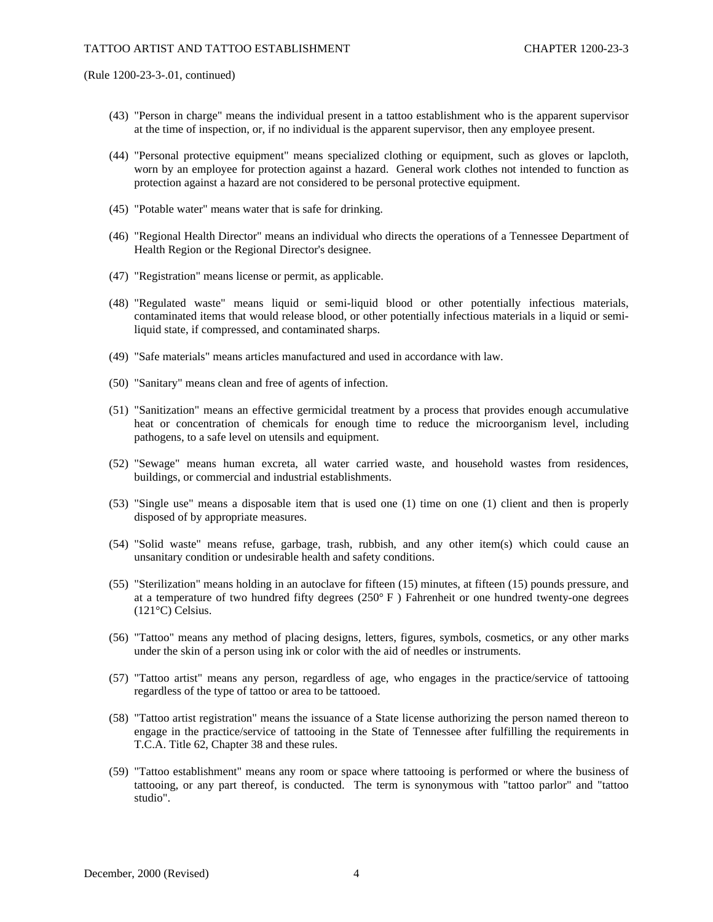- (43) "Person in charge" means the individual present in a tattoo establishment who is the apparent supervisor at the time of inspection, or, if no individual is the apparent supervisor, then any employee present.
- (44) "Personal protective equipment" means specialized clothing or equipment, such as gloves or lapcloth, worn by an employee for protection against a hazard. General work clothes not intended to function as protection against a hazard are not considered to be personal protective equipment.
- (45) "Potable water" means water that is safe for drinking.
- (46) "Regional Health Director" means an individual who directs the operations of a Tennessee Department of Health Region or the Regional Director's designee.
- (47) "Registration" means license or permit, as applicable.
- (48) "Regulated waste" means liquid or semi-liquid blood or other potentially infectious materials, contaminated items that would release blood, or other potentially infectious materials in a liquid or semiliquid state, if compressed, and contaminated sharps.
- (49) "Safe materials" means articles manufactured and used in accordance with law.
- (50) "Sanitary" means clean and free of agents of infection.
- (51) "Sanitization" means an effective germicidal treatment by a process that provides enough accumulative heat or concentration of chemicals for enough time to reduce the microorganism level, including pathogens, to a safe level on utensils and equipment.
- (52) "Sewage" means human excreta, all water carried waste, and household wastes from residences, buildings, or commercial and industrial establishments.
- (53) "Single use" means a disposable item that is used one (1) time on one (1) client and then is properly disposed of by appropriate measures.
- (54) "Solid waste" means refuse, garbage, trash, rubbish, and any other item(s) which could cause an unsanitary condition or undesirable health and safety conditions.
- (55) "Sterilization" means holding in an autoclave for fifteen (15) minutes, at fifteen (15) pounds pressure, and at a temperature of two hundred fifty degrees  $(250^{\circ} \text{ F})$  Fahrenheit or one hundred twenty-one degrees (121°C) Celsius.
- (56) "Tattoo" means any method of placing designs, letters, figures, symbols, cosmetics, or any other marks under the skin of a person using ink or color with the aid of needles or instruments.
- (57) "Tattoo artist" means any person, regardless of age, who engages in the practice/service of tattooing regardless of the type of tattoo or area to be tattooed.
- (58) "Tattoo artist registration" means the issuance of a State license authorizing the person named thereon to engage in the practice/service of tattooing in the State of Tennessee after fulfilling the requirements in T.C.A. Title 62, Chapter 38 and these rules.
- (59) "Tattoo establishment" means any room or space where tattooing is performed or where the business of tattooing, or any part thereof, is conducted. The term is synonymous with "tattoo parlor" and "tattoo studio".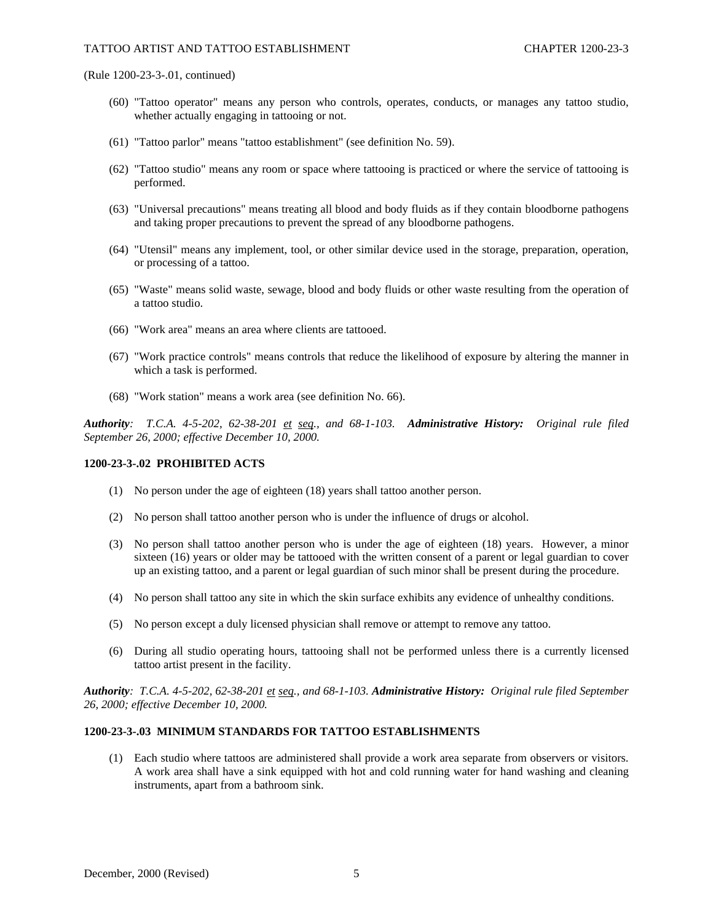- (60) "Tattoo operator" means any person who controls, operates, conducts, or manages any tattoo studio, whether actually engaging in tattooing or not.
- (61) "Tattoo parlor" means "tattoo establishment" (see definition No. 59).
- (62) "Tattoo studio" means any room or space where tattooing is practiced or where the service of tattooing is performed.
- (63) "Universal precautions" means treating all blood and body fluids as if they contain bloodborne pathogens and taking proper precautions to prevent the spread of any bloodborne pathogens.
- (64) "Utensil" means any implement, tool, or other similar device used in the storage, preparation, operation, or processing of a tattoo.
- (65) "Waste" means solid waste, sewage, blood and body fluids or other waste resulting from the operation of a tattoo studio.
- (66) "Work area" means an area where clients are tattooed.
- (67) "Work practice controls" means controls that reduce the likelihood of exposure by altering the manner in which a task is performed.
- (68) "Work station" means a work area (see definition No. 66).

*Authority: T.C.A. 4-5-202, 62-38-201 et seq., and 68-1-103. Administrative History: Original rule filed September 26, 2000; effective December 10, 2000.*

#### **1200-23-3-.02 PROHIBITED ACTS**

- (1) No person under the age of eighteen (18) years shall tattoo another person.
- (2) No person shall tattoo another person who is under the influence of drugs or alcohol.
- (3) No person shall tattoo another person who is under the age of eighteen (18) years. However, a minor sixteen (16) years or older may be tattooed with the written consent of a parent or legal guardian to cover up an existing tattoo, and a parent or legal guardian of such minor shall be present during the procedure.
- (4) No person shall tattoo any site in which the skin surface exhibits any evidence of unhealthy conditions.
- (5) No person except a duly licensed physician shall remove or attempt to remove any tattoo.
- (6) During all studio operating hours, tattooing shall not be performed unless there is a currently licensed tattoo artist present in the facility.

*Authority: T.C.A. 4-5-202, 62-38-201 et seq., and 68-1-103. Administrative History: Original rule filed September 26, 2000; effective December 10, 2000.*

#### **1200-23-3-.03 MINIMUM STANDARDS FOR TATTOO ESTABLISHMENTS**

(1) Each studio where tattoos are administered shall provide a work area separate from observers or visitors. A work area shall have a sink equipped with hot and cold running water for hand washing and cleaning instruments, apart from a bathroom sink.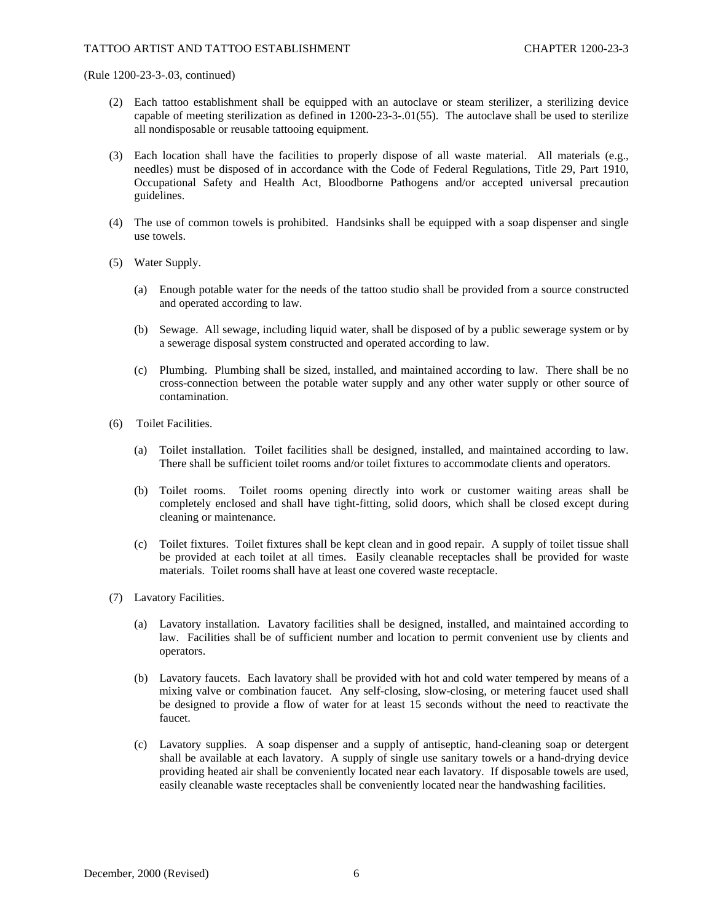- (2) Each tattoo establishment shall be equipped with an autoclave or steam sterilizer, a sterilizing device capable of meeting sterilization as defined in 1200-23-3-.01(55). The autoclave shall be used to sterilize all nondisposable or reusable tattooing equipment.
- (3) Each location shall have the facilities to properly dispose of all waste material. All materials (e.g., needles) must be disposed of in accordance with the Code of Federal Regulations, Title 29, Part 1910, Occupational Safety and Health Act, Bloodborne Pathogens and/or accepted universal precaution guidelines.
- (4) The use of common towels is prohibited. Handsinks shall be equipped with a soap dispenser and single use towels.
- (5) Water Supply.
	- (a) Enough potable water for the needs of the tattoo studio shall be provided from a source constructed and operated according to law.
	- (b) Sewage. All sewage, including liquid water, shall be disposed of by a public sewerage system or by a sewerage disposal system constructed and operated according to law.
	- (c) Plumbing. Plumbing shall be sized, installed, and maintained according to law. There shall be no cross-connection between the potable water supply and any other water supply or other source of contamination.
- (6) Toilet Facilities.
	- (a) Toilet installation. Toilet facilities shall be designed, installed, and maintained according to law. There shall be sufficient toilet rooms and/or toilet fixtures to accommodate clients and operators.
	- (b) Toilet rooms. Toilet rooms opening directly into work or customer waiting areas shall be completely enclosed and shall have tight-fitting, solid doors, which shall be closed except during cleaning or maintenance.
	- (c) Toilet fixtures. Toilet fixtures shall be kept clean and in good repair. A supply of toilet tissue shall be provided at each toilet at all times. Easily cleanable receptacles shall be provided for waste materials. Toilet rooms shall have at least one covered waste receptacle.
- (7) Lavatory Facilities.
	- (a) Lavatory installation. Lavatory facilities shall be designed, installed, and maintained according to law. Facilities shall be of sufficient number and location to permit convenient use by clients and operators.
	- (b) Lavatory faucets. Each lavatory shall be provided with hot and cold water tempered by means of a mixing valve or combination faucet. Any self-closing, slow-closing, or metering faucet used shall be designed to provide a flow of water for at least 15 seconds without the need to reactivate the faucet.
	- (c) Lavatory supplies. A soap dispenser and a supply of antiseptic, hand-cleaning soap or detergent shall be available at each lavatory. A supply of single use sanitary towels or a hand-drying device providing heated air shall be conveniently located near each lavatory. If disposable towels are used, easily cleanable waste receptacles shall be conveniently located near the handwashing facilities.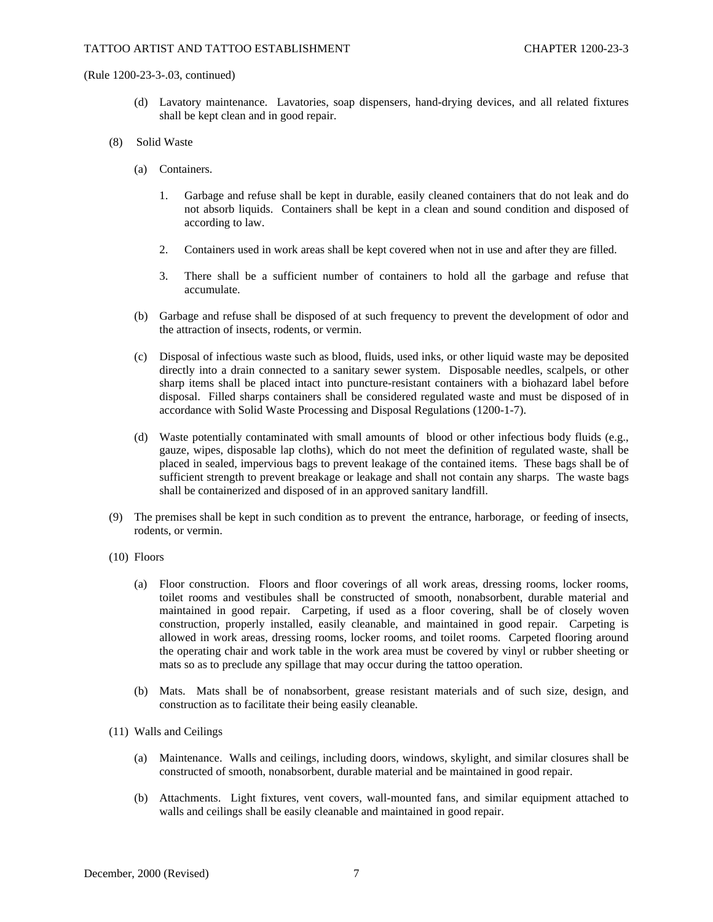- (d) Lavatory maintenance. Lavatories, soap dispensers, hand-drying devices, and all related fixtures shall be kept clean and in good repair.
- (8) Solid Waste
	- (a) Containers.
		- 1. Garbage and refuse shall be kept in durable, easily cleaned containers that do not leak and do not absorb liquids. Containers shall be kept in a clean and sound condition and disposed of according to law.
		- 2. Containers used in work areas shall be kept covered when not in use and after they are filled.
		- 3. There shall be a sufficient number of containers to hold all the garbage and refuse that accumulate.
	- (b) Garbage and refuse shall be disposed of at such frequency to prevent the development of odor and the attraction of insects, rodents, or vermin.
	- (c) Disposal of infectious waste such as blood, fluids, used inks, or other liquid waste may be deposited directly into a drain connected to a sanitary sewer system. Disposable needles, scalpels, or other sharp items shall be placed intact into puncture-resistant containers with a biohazard label before disposal. Filled sharps containers shall be considered regulated waste and must be disposed of in accordance with Solid Waste Processing and Disposal Regulations (1200-1-7).
	- (d) Waste potentially contaminated with small amounts of blood or other infectious body fluids (e.g., gauze, wipes, disposable lap cloths), which do not meet the definition of regulated waste, shall be placed in sealed, impervious bags to prevent leakage of the contained items. These bags shall be of sufficient strength to prevent breakage or leakage and shall not contain any sharps. The waste bags shall be containerized and disposed of in an approved sanitary landfill.
- (9) The premises shall be kept in such condition as to prevent the entrance, harborage, or feeding of insects, rodents, or vermin.
- (10) Floors
	- (a) Floor construction. Floors and floor coverings of all work areas, dressing rooms, locker rooms, toilet rooms and vestibules shall be constructed of smooth, nonabsorbent, durable material and maintained in good repair. Carpeting, if used as a floor covering, shall be of closely woven construction, properly installed, easily cleanable, and maintained in good repair. Carpeting is allowed in work areas, dressing rooms, locker rooms, and toilet rooms. Carpeted flooring around the operating chair and work table in the work area must be covered by vinyl or rubber sheeting or mats so as to preclude any spillage that may occur during the tattoo operation.
	- (b) Mats. Mats shall be of nonabsorbent, grease resistant materials and of such size, design, and construction as to facilitate their being easily cleanable.
- (11) Walls and Ceilings
	- (a) Maintenance. Walls and ceilings, including doors, windows, skylight, and similar closures shall be constructed of smooth, nonabsorbent, durable material and be maintained in good repair.
	- (b) Attachments. Light fixtures, vent covers, wall-mounted fans, and similar equipment attached to walls and ceilings shall be easily cleanable and maintained in good repair.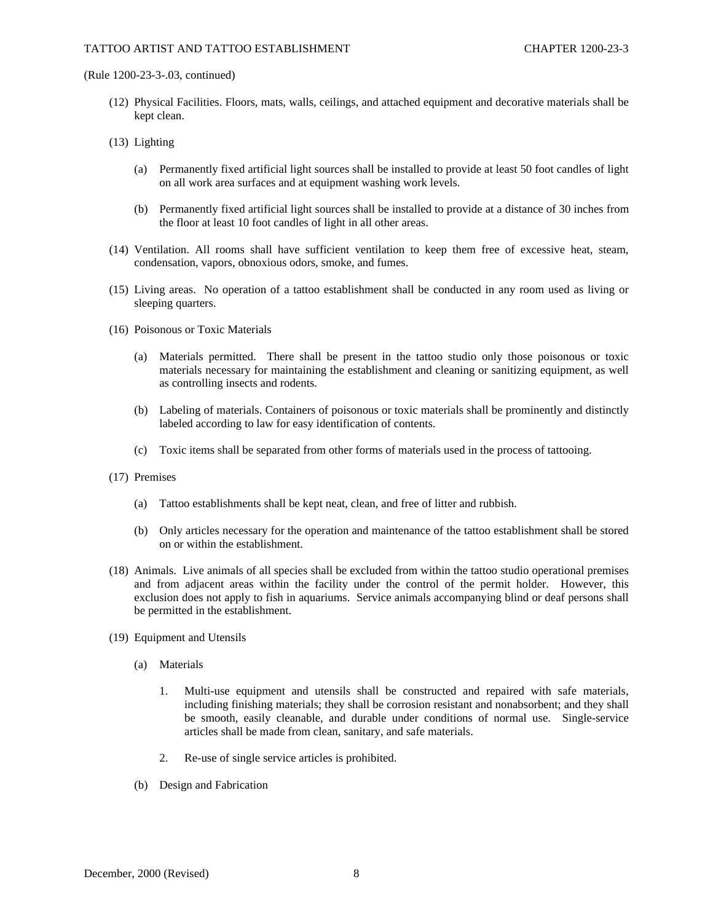- (12) Physical Facilities. Floors, mats, walls, ceilings, and attached equipment and decorative materials shall be kept clean.
- (13) Lighting
	- (a) Permanently fixed artificial light sources shall be installed to provide at least 50 foot candles of light on all work area surfaces and at equipment washing work levels.
	- (b) Permanently fixed artificial light sources shall be installed to provide at a distance of 30 inches from the floor at least 10 foot candles of light in all other areas.
- (14) Ventilation. All rooms shall have sufficient ventilation to keep them free of excessive heat, steam, condensation, vapors, obnoxious odors, smoke, and fumes.
- (15) Living areas. No operation of a tattoo establishment shall be conducted in any room used as living or sleeping quarters.
- (16) Poisonous or Toxic Materials
	- (a) Materials permitted. There shall be present in the tattoo studio only those poisonous or toxic materials necessary for maintaining the establishment and cleaning or sanitizing equipment, as well as controlling insects and rodents.
	- (b) Labeling of materials. Containers of poisonous or toxic materials shall be prominently and distinctly labeled according to law for easy identification of contents.
	- (c) Toxic items shall be separated from other forms of materials used in the process of tattooing.
- (17) Premises
	- (a) Tattoo establishments shall be kept neat, clean, and free of litter and rubbish.
	- (b) Only articles necessary for the operation and maintenance of the tattoo establishment shall be stored on or within the establishment.
- (18) Animals. Live animals of all species shall be excluded from within the tattoo studio operational premises and from adjacent areas within the facility under the control of the permit holder. However, this exclusion does not apply to fish in aquariums. Service animals accompanying blind or deaf persons shall be permitted in the establishment.
- (19) Equipment and Utensils
	- (a) Materials
		- 1. Multi-use equipment and utensils shall be constructed and repaired with safe materials, including finishing materials; they shall be corrosion resistant and nonabsorbent; and they shall be smooth, easily cleanable, and durable under conditions of normal use. Single-service articles shall be made from clean, sanitary, and safe materials.
		- 2. Re-use of single service articles is prohibited.
	- (b) Design and Fabrication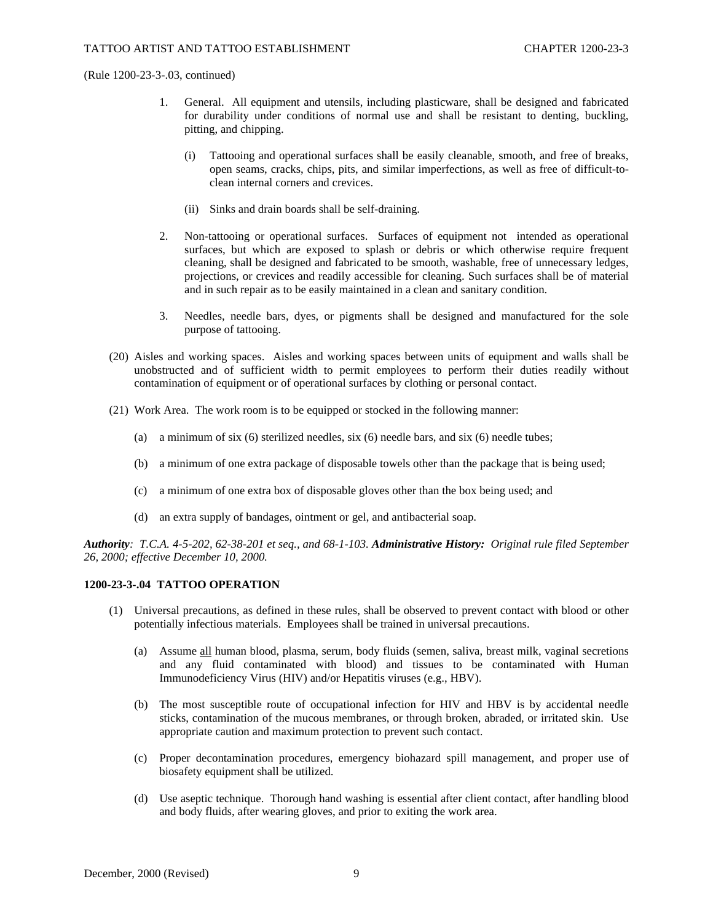- 1. General. All equipment and utensils, including plasticware, shall be designed and fabricated for durability under conditions of normal use and shall be resistant to denting, buckling, pitting, and chipping.
	- (i) Tattooing and operational surfaces shall be easily cleanable, smooth, and free of breaks, open seams, cracks, chips, pits, and similar imperfections, as well as free of difficult-toclean internal corners and crevices.
	- (ii) Sinks and drain boards shall be self-draining.
- 2. Non-tattooing or operational surfaces. Surfaces of equipment not intended as operational surfaces, but which are exposed to splash or debris or which otherwise require frequent cleaning, shall be designed and fabricated to be smooth, washable, free of unnecessary ledges, projections, or crevices and readily accessible for cleaning. Such surfaces shall be of material and in such repair as to be easily maintained in a clean and sanitary condition.
- 3. Needles, needle bars, dyes, or pigments shall be designed and manufactured for the sole purpose of tattooing.
- (20) Aisles and working spaces. Aisles and working spaces between units of equipment and walls shall be unobstructed and of sufficient width to permit employees to perform their duties readily without contamination of equipment or of operational surfaces by clothing or personal contact.
- (21) Work Area. The work room is to be equipped or stocked in the following manner:
	- (a) a minimum of six (6) sterilized needles, six (6) needle bars, and six (6) needle tubes;
	- (b) a minimum of one extra package of disposable towels other than the package that is being used;
	- (c) a minimum of one extra box of disposable gloves other than the box being used; and
	- (d) an extra supply of bandages, ointment or gel, and antibacterial soap.

*Authority: T.C.A. 4-5-202, 62-38-201 et seq., and 68-1-103. Administrative History: Original rule filed September 26, 2000; effective December 10, 2000.*

# **1200-23-3-.04 TATTOO OPERATION**

- (1) Universal precautions, as defined in these rules, shall be observed to prevent contact with blood or other potentially infectious materials. Employees shall be trained in universal precautions.
	- (a) Assume all human blood, plasma, serum, body fluids (semen, saliva, breast milk, vaginal secretions and any fluid contaminated with blood) and tissues to be contaminated with Human Immunodeficiency Virus (HIV) and/or Hepatitis viruses (e.g., HBV).
	- (b) The most susceptible route of occupational infection for HIV and HBV is by accidental needle sticks, contamination of the mucous membranes, or through broken, abraded, or irritated skin. Use appropriate caution and maximum protection to prevent such contact.
	- (c) Proper decontamination procedures, emergency biohazard spill management, and proper use of biosafety equipment shall be utilized.
	- (d) Use aseptic technique. Thorough hand washing is essential after client contact, after handling blood and body fluids, after wearing gloves, and prior to exiting the work area.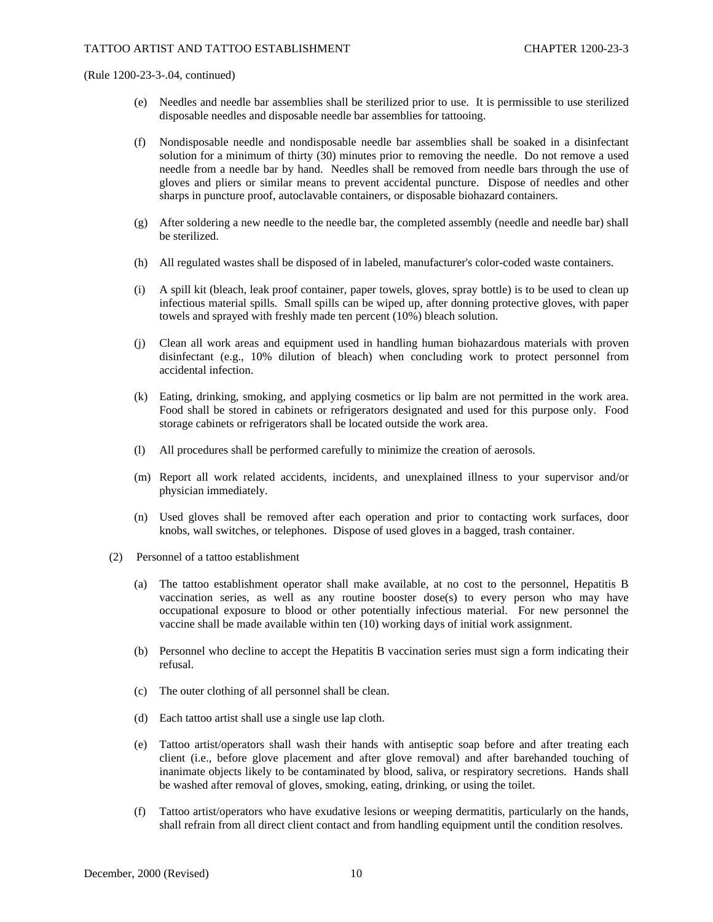- (e) Needles and needle bar assemblies shall be sterilized prior to use. It is permissible to use sterilized disposable needles and disposable needle bar assemblies for tattooing.
- (f) Nondisposable needle and nondisposable needle bar assemblies shall be soaked in a disinfectant solution for a minimum of thirty (30) minutes prior to removing the needle. Do not remove a used needle from a needle bar by hand. Needles shall be removed from needle bars through the use of gloves and pliers or similar means to prevent accidental puncture. Dispose of needles and other sharps in puncture proof, autoclavable containers, or disposable biohazard containers.
- (g) After soldering a new needle to the needle bar, the completed assembly (needle and needle bar) shall be sterilized.
- (h) All regulated wastes shall be disposed of in labeled, manufacturer's color-coded waste containers.
- (i) A spill kit (bleach, leak proof container, paper towels, gloves, spray bottle) is to be used to clean up infectious material spills. Small spills can be wiped up, after donning protective gloves, with paper towels and sprayed with freshly made ten percent (10%) bleach solution.
- (j) Clean all work areas and equipment used in handling human biohazardous materials with proven disinfectant (e.g., 10% dilution of bleach) when concluding work to protect personnel from accidental infection.
- (k) Eating, drinking, smoking, and applying cosmetics or lip balm are not permitted in the work area. Food shall be stored in cabinets or refrigerators designated and used for this purpose only. Food storage cabinets or refrigerators shall be located outside the work area.
- (l) All procedures shall be performed carefully to minimize the creation of aerosols.
- (m) Report all work related accidents, incidents, and unexplained illness to your supervisor and/or physician immediately.
- (n) Used gloves shall be removed after each operation and prior to contacting work surfaces, door knobs, wall switches, or telephones. Dispose of used gloves in a bagged, trash container.
- (2) Personnel of a tattoo establishment
	- (a) The tattoo establishment operator shall make available, at no cost to the personnel, Hepatitis B vaccination series, as well as any routine booster dose(s) to every person who may have occupational exposure to blood or other potentially infectious material. For new personnel the vaccine shall be made available within ten (10) working days of initial work assignment.
	- (b) Personnel who decline to accept the Hepatitis B vaccination series must sign a form indicating their refusal.
	- (c) The outer clothing of all personnel shall be clean.
	- (d) Each tattoo artist shall use a single use lap cloth.
	- (e) Tattoo artist/operators shall wash their hands with antiseptic soap before and after treating each client (i.e., before glove placement and after glove removal) and after barehanded touching of inanimate objects likely to be contaminated by blood, saliva, or respiratory secretions. Hands shall be washed after removal of gloves, smoking, eating, drinking, or using the toilet.
	- (f) Tattoo artist/operators who have exudative lesions or weeping dermatitis, particularly on the hands, shall refrain from all direct client contact and from handling equipment until the condition resolves.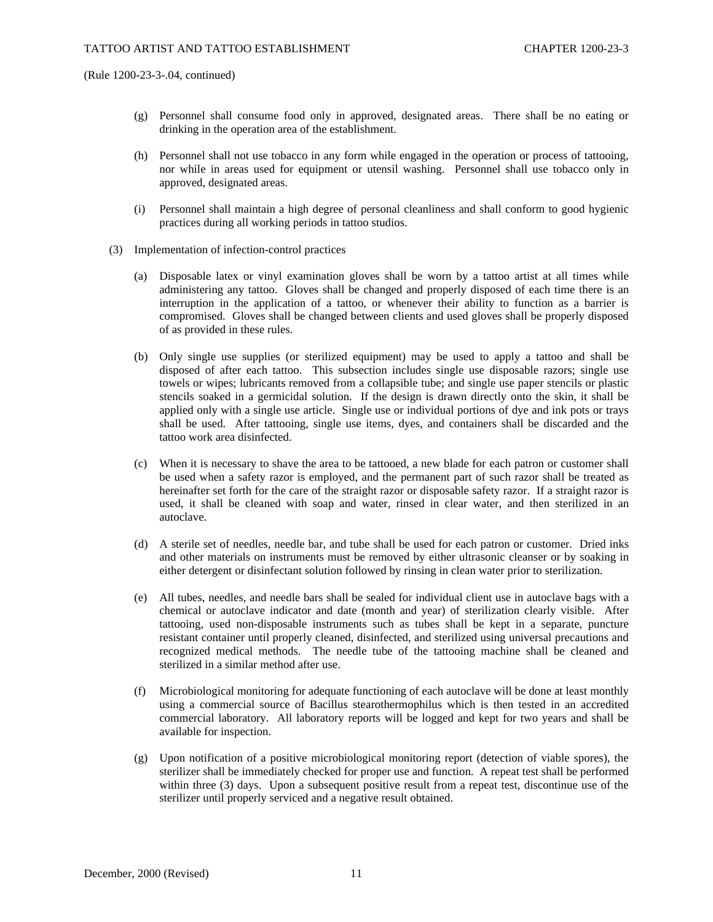- (g) Personnel shall consume food only in approved, designated areas. There shall be no eating or drinking in the operation area of the establishment.
- (h) Personnel shall not use tobacco in any form while engaged in the operation or process of tattooing, nor while in areas used for equipment or utensil washing. Personnel shall use tobacco only in approved, designated areas.
- (i) Personnel shall maintain a high degree of personal cleanliness and shall conform to good hygienic practices during all working periods in tattoo studios.
- (3) Implementation of infection-control practices
	- (a) Disposable latex or vinyl examination gloves shall be worn by a tattoo artist at all times while administering any tattoo. Gloves shall be changed and properly disposed of each time there is an interruption in the application of a tattoo, or whenever their ability to function as a barrier is compromised. Gloves shall be changed between clients and used gloves shall be properly disposed of as provided in these rules.
	- (b) Only single use supplies (or sterilized equipment) may be used to apply a tattoo and shall be disposed of after each tattoo. This subsection includes single use disposable razors; single use towels or wipes; lubricants removed from a collapsible tube; and single use paper stencils or plastic stencils soaked in a germicidal solution. If the design is drawn directly onto the skin, it shall be applied only with a single use article. Single use or individual portions of dye and ink pots or trays shall be used. After tattooing, single use items, dyes, and containers shall be discarded and the tattoo work area disinfected.
	- (c) When it is necessary to shave the area to be tattooed, a new blade for each patron or customer shall be used when a safety razor is employed, and the permanent part of such razor shall be treated as hereinafter set forth for the care of the straight razor or disposable safety razor. If a straight razor is used, it shall be cleaned with soap and water, rinsed in clear water, and then sterilized in an autoclave.
	- (d) A sterile set of needles, needle bar, and tube shall be used for each patron or customer. Dried inks and other materials on instruments must be removed by either ultrasonic cleanser or by soaking in either detergent or disinfectant solution followed by rinsing in clean water prior to sterilization.
	- (e) All tubes, needles, and needle bars shall be sealed for individual client use in autoclave bags with a chemical or autoclave indicator and date (month and year) of sterilization clearly visible. After tattooing, used non-disposable instruments such as tubes shall be kept in a separate, puncture resistant container until properly cleaned, disinfected, and sterilized using universal precautions and recognized medical methods. The needle tube of the tattooing machine shall be cleaned and sterilized in a similar method after use.
	- (f) Microbiological monitoring for adequate functioning of each autoclave will be done at least monthly using a commercial source of Bacillus stearothermophilus which is then tested in an accredited commercial laboratory. All laboratory reports will be logged and kept for two years and shall be available for inspection.
	- (g) Upon notification of a positive microbiological monitoring report (detection of viable spores), the sterilizer shall be immediately checked for proper use and function. A repeat test shall be performed within three (3) days. Upon a subsequent positive result from a repeat test, discontinue use of the sterilizer until properly serviced and a negative result obtained.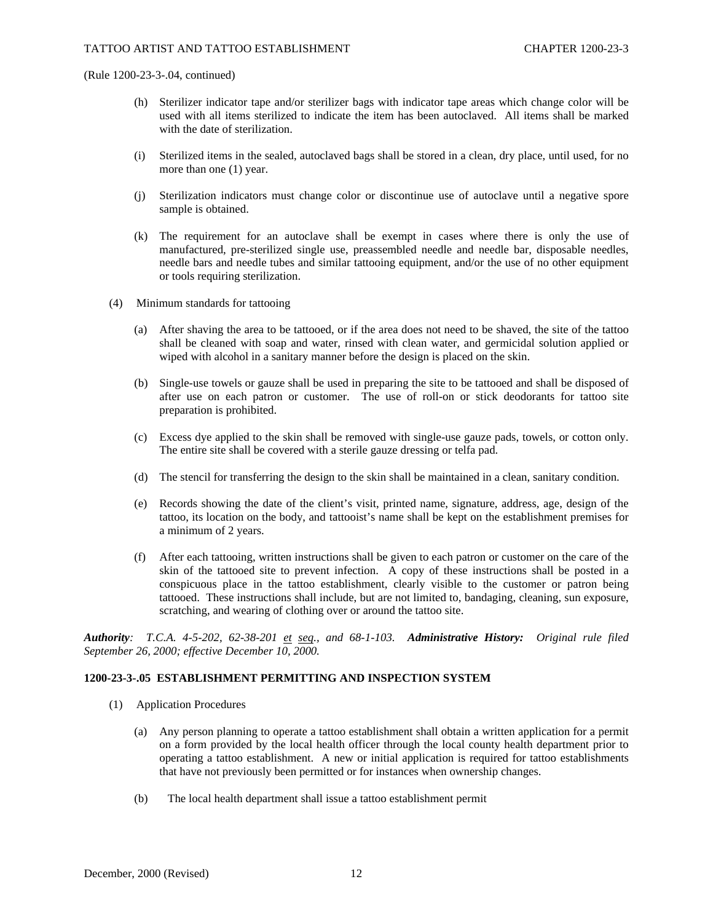- (h) Sterilizer indicator tape and/or sterilizer bags with indicator tape areas which change color will be used with all items sterilized to indicate the item has been autoclaved. All items shall be marked with the date of sterilization.
- (i) Sterilized items in the sealed, autoclaved bags shall be stored in a clean, dry place, until used, for no more than one (1) year.
- (j) Sterilization indicators must change color or discontinue use of autoclave until a negative spore sample is obtained.
- (k) The requirement for an autoclave shall be exempt in cases where there is only the use of manufactured, pre-sterilized single use, preassembled needle and needle bar, disposable needles, needle bars and needle tubes and similar tattooing equipment, and/or the use of no other equipment or tools requiring sterilization.
- (4) Minimum standards for tattooing
	- (a) After shaving the area to be tattooed, or if the area does not need to be shaved, the site of the tattoo shall be cleaned with soap and water, rinsed with clean water, and germicidal solution applied or wiped with alcohol in a sanitary manner before the design is placed on the skin.
	- (b) Single-use towels or gauze shall be used in preparing the site to be tattooed and shall be disposed of after use on each patron or customer. The use of roll-on or stick deodorants for tattoo site preparation is prohibited.
	- (c) Excess dye applied to the skin shall be removed with single-use gauze pads, towels, or cotton only. The entire site shall be covered with a sterile gauze dressing or telfa pad.
	- (d) The stencil for transferring the design to the skin shall be maintained in a clean, sanitary condition.
	- (e) Records showing the date of the client's visit, printed name, signature, address, age, design of the tattoo, its location on the body, and tattooist's name shall be kept on the establishment premises for a minimum of 2 years.
	- (f) After each tattooing, written instructions shall be given to each patron or customer on the care of the skin of the tattooed site to prevent infection. A copy of these instructions shall be posted in a conspicuous place in the tattoo establishment, clearly visible to the customer or patron being tattooed. These instructions shall include, but are not limited to, bandaging, cleaning, sun exposure, scratching, and wearing of clothing over or around the tattoo site.

*Authority: T.C.A. 4-5-202, 62-38-201 et seq., and 68-1-103. Administrative History: Original rule filed September 26, 2000; effective December 10, 2000.*

#### **1200-23-3-.05 ESTABLISHMENT PERMITTING AND INSPECTION SYSTEM**

- (1) Application Procedures
	- (a) Any person planning to operate a tattoo establishment shall obtain a written application for a permit on a form provided by the local health officer through the local county health department prior to operating a tattoo establishment. A new or initial application is required for tattoo establishments that have not previously been permitted or for instances when ownership changes.
	- (b) The local health department shall issue a tattoo establishment permit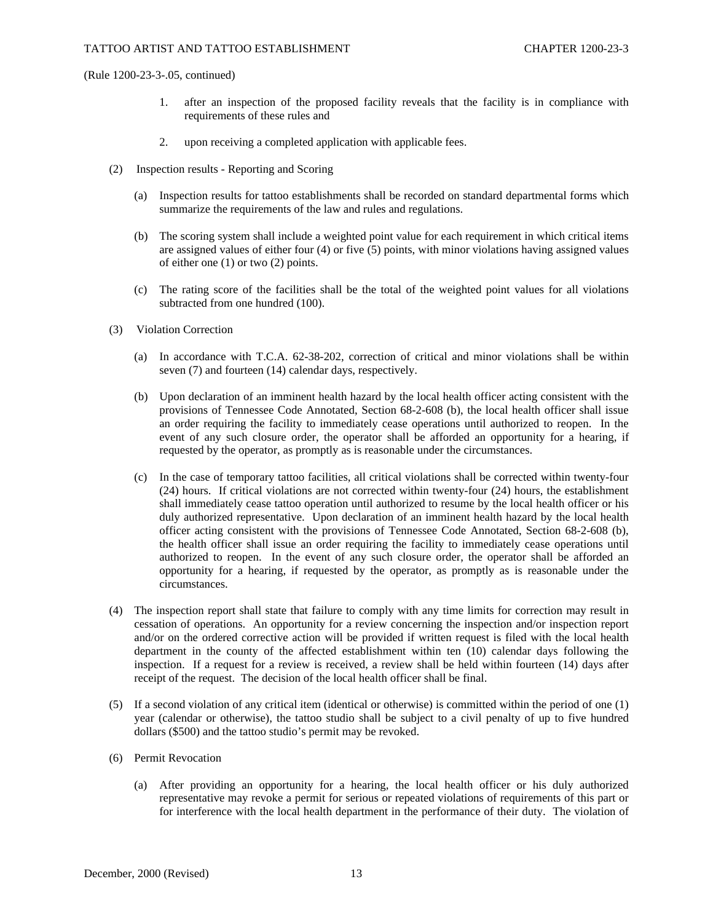- 1. after an inspection of the proposed facility reveals that the facility is in compliance with requirements of these rules and
- 2. upon receiving a completed application with applicable fees.
- (2) Inspection results Reporting and Scoring
	- (a) Inspection results for tattoo establishments shall be recorded on standard departmental forms which summarize the requirements of the law and rules and regulations.
	- (b) The scoring system shall include a weighted point value for each requirement in which critical items are assigned values of either four (4) or five (5) points, with minor violations having assigned values of either one (1) or two (2) points.
	- (c) The rating score of the facilities shall be the total of the weighted point values for all violations subtracted from one hundred (100).
- (3) Violation Correction
	- (a) In accordance with T.C.A. 62-38-202, correction of critical and minor violations shall be within seven (7) and fourteen (14) calendar days, respectively.
	- (b) Upon declaration of an imminent health hazard by the local health officer acting consistent with the provisions of Tennessee Code Annotated, Section 68-2-608 (b), the local health officer shall issue an order requiring the facility to immediately cease operations until authorized to reopen. In the event of any such closure order, the operator shall be afforded an opportunity for a hearing, if requested by the operator, as promptly as is reasonable under the circumstances.
	- (c) In the case of temporary tattoo facilities, all critical violations shall be corrected within twenty-four (24) hours. If critical violations are not corrected within twenty-four (24) hours, the establishment shall immediately cease tattoo operation until authorized to resume by the local health officer or his duly authorized representative. Upon declaration of an imminent health hazard by the local health officer acting consistent with the provisions of Tennessee Code Annotated, Section 68-2-608 (b), the health officer shall issue an order requiring the facility to immediately cease operations until authorized to reopen. In the event of any such closure order, the operator shall be afforded an opportunity for a hearing, if requested by the operator, as promptly as is reasonable under the circumstances.
- (4) The inspection report shall state that failure to comply with any time limits for correction may result in cessation of operations. An opportunity for a review concerning the inspection and/or inspection report and/or on the ordered corrective action will be provided if written request is filed with the local health department in the county of the affected establishment within ten (10) calendar days following the inspection. If a request for a review is received, a review shall be held within fourteen (14) days after receipt of the request. The decision of the local health officer shall be final.
- (5) If a second violation of any critical item (identical or otherwise) is committed within the period of one (1) year (calendar or otherwise), the tattoo studio shall be subject to a civil penalty of up to five hundred dollars (\$500) and the tattoo studio's permit may be revoked.
- (6) Permit Revocation
	- (a) After providing an opportunity for a hearing, the local health officer or his duly authorized representative may revoke a permit for serious or repeated violations of requirements of this part or for interference with the local health department in the performance of their duty. The violation of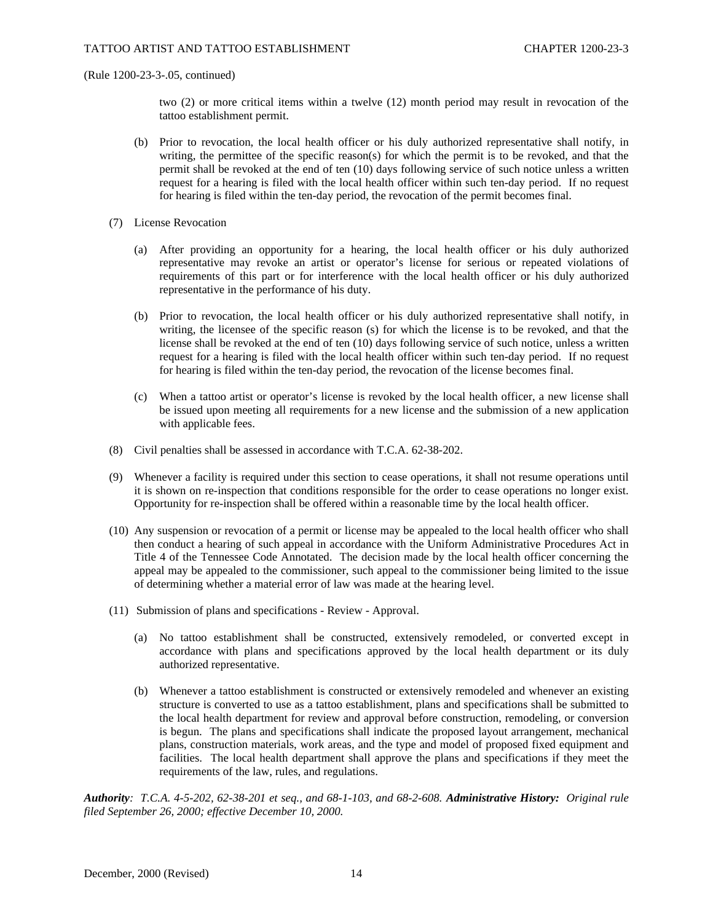two (2) or more critical items within a twelve (12) month period may result in revocation of the tattoo establishment permit.

- (b) Prior to revocation, the local health officer or his duly authorized representative shall notify, in writing, the permittee of the specific reason(s) for which the permit is to be revoked, and that the permit shall be revoked at the end of ten (10) days following service of such notice unless a written request for a hearing is filed with the local health officer within such ten-day period. If no request for hearing is filed within the ten-day period, the revocation of the permit becomes final.
- (7) License Revocation
	- (a) After providing an opportunity for a hearing, the local health officer or his duly authorized representative may revoke an artist or operator's license for serious or repeated violations of requirements of this part or for interference with the local health officer or his duly authorized representative in the performance of his duty.
	- (b) Prior to revocation, the local health officer or his duly authorized representative shall notify, in writing, the licensee of the specific reason (s) for which the license is to be revoked, and that the license shall be revoked at the end of ten (10) days following service of such notice, unless a written request for a hearing is filed with the local health officer within such ten-day period. If no request for hearing is filed within the ten-day period, the revocation of the license becomes final.
	- (c) When a tattoo artist or operator's license is revoked by the local health officer, a new license shall be issued upon meeting all requirements for a new license and the submission of a new application with applicable fees.
- (8) Civil penalties shall be assessed in accordance with T.C.A. 62-38-202.
- (9) Whenever a facility is required under this section to cease operations, it shall not resume operations until it is shown on re-inspection that conditions responsible for the order to cease operations no longer exist. Opportunity for re-inspection shall be offered within a reasonable time by the local health officer.
- (10) Any suspension or revocation of a permit or license may be appealed to the local health officer who shall then conduct a hearing of such appeal in accordance with the Uniform Administrative Procedures Act in Title 4 of the Tennessee Code Annotated. The decision made by the local health officer concerning the appeal may be appealed to the commissioner, such appeal to the commissioner being limited to the issue of determining whether a material error of law was made at the hearing level.
- (11) Submission of plans and specifications Review Approval.
	- (a) No tattoo establishment shall be constructed, extensively remodeled, or converted except in accordance with plans and specifications approved by the local health department or its duly authorized representative.
	- (b) Whenever a tattoo establishment is constructed or extensively remodeled and whenever an existing structure is converted to use as a tattoo establishment, plans and specifications shall be submitted to the local health department for review and approval before construction, remodeling, or conversion is begun. The plans and specifications shall indicate the proposed layout arrangement, mechanical plans, construction materials, work areas, and the type and model of proposed fixed equipment and facilities. The local health department shall approve the plans and specifications if they meet the requirements of the law, rules, and regulations.

*Authority: T.C.A. 4-5-202, 62-38-201 et seq., and 68-1-103, and 68-2-608. Administrative History: Original rule filed September 26, 2000; effective December 10, 2000.*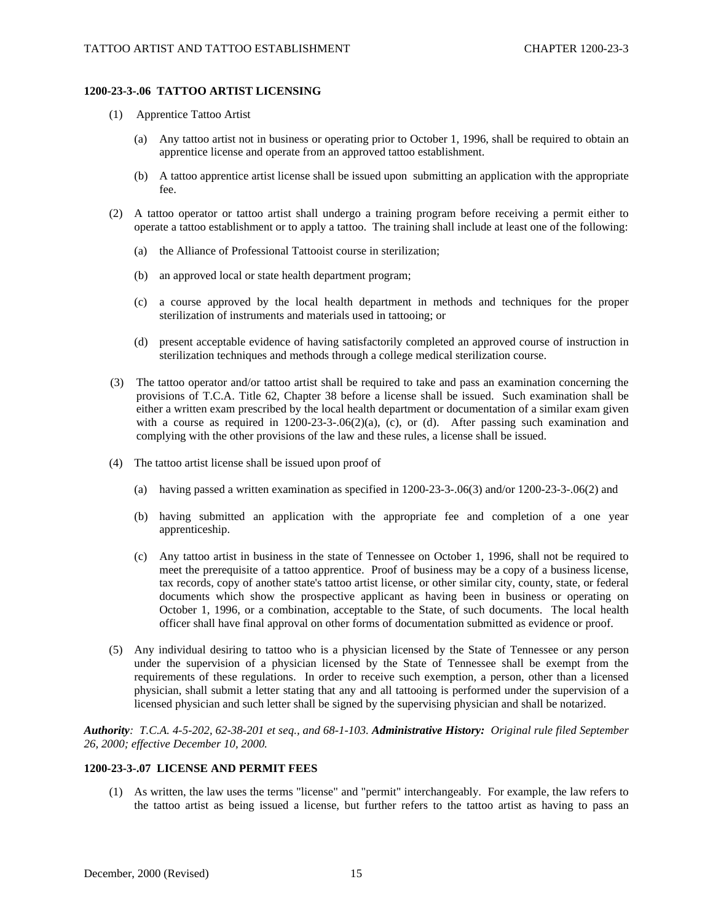# **1200-23-3-.06 TATTOO ARTIST LICENSING**

- (1) Apprentice Tattoo Artist
	- (a) Any tattoo artist not in business or operating prior to October 1, 1996, shall be required to obtain an apprentice license and operate from an approved tattoo establishment.
	- (b) A tattoo apprentice artist license shall be issued upon submitting an application with the appropriate fee.
- (2) A tattoo operator or tattoo artist shall undergo a training program before receiving a permit either to operate a tattoo establishment or to apply a tattoo. The training shall include at least one of the following:
	- (a) the Alliance of Professional Tattooist course in sterilization;
	- (b) an approved local or state health department program;
	- (c) a course approved by the local health department in methods and techniques for the proper sterilization of instruments and materials used in tattooing; or
	- (d) present acceptable evidence of having satisfactorily completed an approved course of instruction in sterilization techniques and methods through a college medical sterilization course.
- (3) The tattoo operator and/or tattoo artist shall be required to take and pass an examination concerning the provisions of T.C.A. Title 62, Chapter 38 before a license shall be issued. Such examination shall be either a written exam prescribed by the local health department or documentation of a similar exam given with a course as required in  $1200-23-3-06(2)(a)$ , (c), or (d). After passing such examination and complying with the other provisions of the law and these rules, a license shall be issued.
- (4) The tattoo artist license shall be issued upon proof of
	- (a) having passed a written examination as specified in 1200-23-3-.06(3) and/or 1200-23-3-.06(2) and
	- (b) having submitted an application with the appropriate fee and completion of a one year apprenticeship.
	- (c) Any tattoo artist in business in the state of Tennessee on October 1, 1996, shall not be required to meet the prerequisite of a tattoo apprentice. Proof of business may be a copy of a business license, tax records, copy of another state's tattoo artist license, or other similar city, county, state, or federal documents which show the prospective applicant as having been in business or operating on October 1, 1996, or a combination, acceptable to the State, of such documents. The local health officer shall have final approval on other forms of documentation submitted as evidence or proof.
- (5) Any individual desiring to tattoo who is a physician licensed by the State of Tennessee or any person under the supervision of a physician licensed by the State of Tennessee shall be exempt from the requirements of these regulations. In order to receive such exemption, a person, other than a licensed physician, shall submit a letter stating that any and all tattooing is performed under the supervision of a licensed physician and such letter shall be signed by the supervising physician and shall be notarized.

*Authority: T.C.A. 4-5-202, 62-38-201 et seq., and 68-1-103. Administrative History: Original rule filed September 26, 2000; effective December 10, 2000.*

### **1200-23-3-.07 LICENSE AND PERMIT FEES**

(1) As written, the law uses the terms "license" and "permit" interchangeably. For example, the law refers to the tattoo artist as being issued a license, but further refers to the tattoo artist as having to pass an